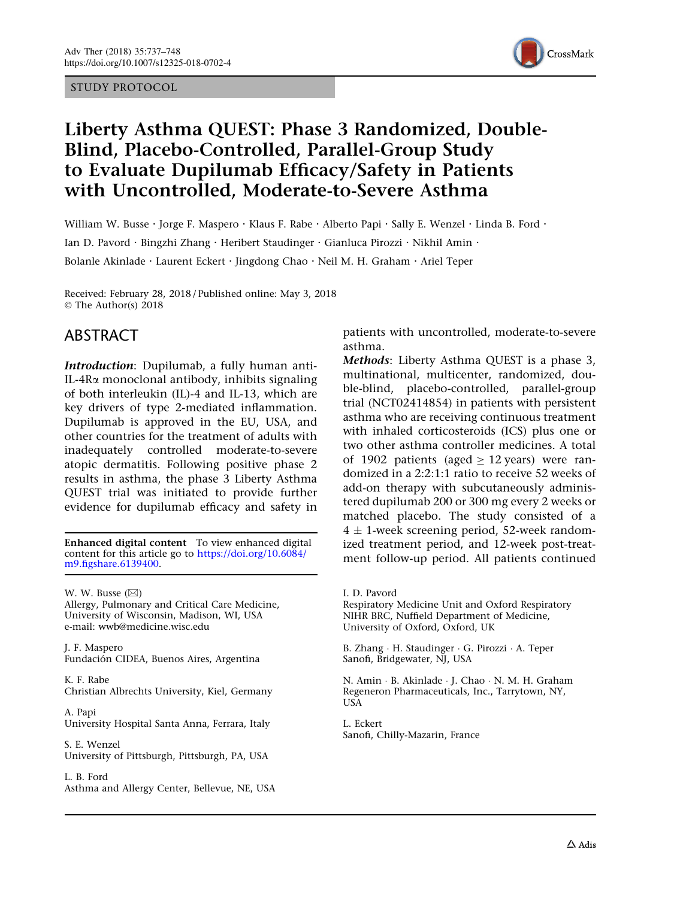#### STUDY PROTOCOL



# Liberty Asthma QUEST: Phase 3 Randomized, Double-Blind, Placebo-Controlled, Parallel-Group Study to Evaluate Dupilumab Efficacy/Safety in Patients with Uncontrolled, Moderate-to-Severe Asthma

William W. Busse · Jorge F. Maspero · Klaus F. Rabe · Alberto Papi · Sally E. Wenzel · Linda B. Ford · Ian D. Pavord · Bingzhi Zhang · Heribert Staudinger · Gianluca Pirozzi · Nikhil Amin · Bolanle Akinlade . Laurent Eckert . Jingdong Chao . Neil M. H. Graham . Ariel Teper

Received: February 28, 2018 / Published online: May 3, 2018 © The Author(s) 2018

## ABSTRACT

Introduction: Dupilumab, a fully human anti-IL-4Ra monoclonal antibody, inhibits signaling of both interleukin (IL)-4 and IL-13, which are key drivers of type 2-mediated inflammation. Dupilumab is approved in the EU, USA, and other countries for the treatment of adults with inadequately controlled moderate-to-severe atopic dermatitis. Following positive phase 2 results in asthma, the phase 3 Liberty Asthma QUEST trial was initiated to provide further evidence for dupilumab efficacy and safety in

Enhanced digital content To view enhanced digital content for this article go to [https://doi.org/10.6084/](http://dx.doi.org/10.6084/m9.figshare.6139400) [m9.figshare.6139400.](http://dx.doi.org/10.6084/m9.figshare.6139400)

W. W. Busse  $(\boxtimes)$ Allergy, Pulmonary and Critical Care Medicine, University of Wisconsin, Madison, WI, USA e-mail: wwb@medicine.wisc.edu

J. F. Maspero Fundación CIDEA, Buenos Aires, Argentina

K. F. Rabe Christian Albrechts University, Kiel, Germany

A. Papi University Hospital Santa Anna, Ferrara, Italy

S. E. Wenzel University of Pittsburgh, Pittsburgh, PA, USA

L. B. Ford Asthma and Allergy Center, Bellevue, NE, USA patients with uncontrolled, moderate-to-severe asthma.

Methods: Liberty Asthma QUEST is a phase 3, multinational, multicenter, randomized, double-blind, placebo-controlled, parallel-group trial (NCT02414854) in patients with persistent asthma who are receiving continuous treatment with inhaled corticosteroids (ICS) plus one or two other asthma controller medicines. A total of 1902 patients (aged  $\geq$  12 years) were randomized in a 2:2:1:1 ratio to receive 52 weeks of add-on therapy with subcutaneously administered dupilumab 200 or 300 mg every 2 weeks or matched placebo. The study consisted of a  $4 \pm 1$ -week screening period, 52-week randomized treatment period, and 12-week post-treatment follow-up period. All patients continued

Respiratory Medicine Unit and Oxford Respiratory NIHR BRC, Nuffield Department of Medicine, University of Oxford, Oxford, UK

B. Zhang - H. Staudinger - G. Pirozzi - A. Teper Sanofi, Bridgewater, NJ, USA

N. Amin - B. Akinlade - J. Chao - N. M. H. Graham Regeneron Pharmaceuticals, Inc., Tarrytown, NY, USA

L. Eckert Sanofi, Chilly-Mazarin, France

I. D. Pavord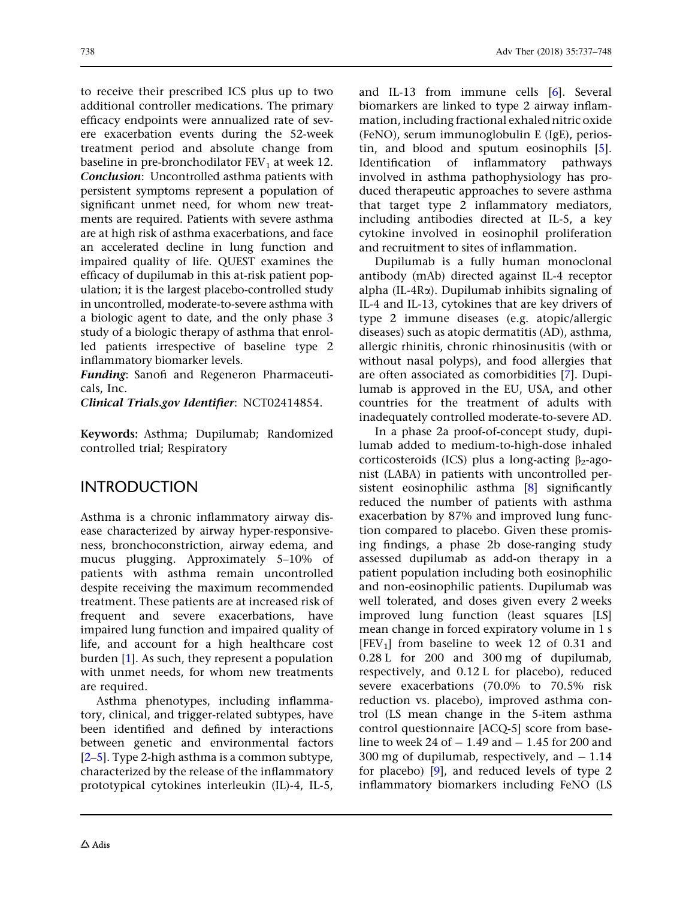to receive their prescribed ICS plus up to two additional controller medications. The primary efficacy endpoints were annualized rate of severe exacerbation events during the 52-week treatment period and absolute change from baseline in pre-bronchodilator  $FEV<sub>1</sub>$  at week 12. Conclusion: Uncontrolled asthma patients with persistent symptoms represent a population of significant unmet need, for whom new treatments are required. Patients with severe asthma are at high risk of asthma exacerbations, and face an accelerated decline in lung function and impaired quality of life. QUEST examines the efficacy of dupilumab in this at-risk patient population; it is the largest placebo-controlled study in uncontrolled, moderate-to-severe asthma with a biologic agent to date, and the only phase 3 study of a biologic therapy of asthma that enrolled patients irrespective of baseline type 2 inflammatory biomarker levels.

Funding: Sanofi and Regeneron Pharmaceuticals, Inc.

Clinical Trials.gov Identifier: NCT02414854.

Keywords: Asthma; Dupilumab; Randomized controlled trial; Respiratory

## INTRODUCTION

Asthma is a chronic inflammatory airway disease characterized by airway hyper-responsiveness, bronchoconstriction, airway edema, and mucus plugging. Approximately 5–10% of patients with asthma remain uncontrolled despite receiving the maximum recommended treatment. These patients are at increased risk of frequent and severe exacerbations, have impaired lung function and impaired quality of life, and account for a high healthcare cost burden [\[1\]](#page-10-0). As such, they represent a population with unmet needs, for whom new treatments are required.

Asthma phenotypes, including inflammatory, clinical, and trigger-related subtypes, have been identified and defined by interactions between genetic and environmental factors [\[2–5\]](#page-10-0). Type 2-high asthma is a common subtype, characterized by the release of the inflammatory prototypical cytokines interleukin (IL)-4, IL-5, and IL-13 from immune cells [[6](#page-10-0)]. Several biomarkers are linked to type 2 airway inflammation, including fractional exhaled nitric oxide (FeNO), serum immunoglobulin E (IgE), periostin, and blood and sputum eosinophils [[5](#page-10-0)]. Identification of inflammatory pathways involved in asthma pathophysiology has produced therapeutic approaches to severe asthma that target type 2 inflammatory mediators, including antibodies directed at IL-5, a key cytokine involved in eosinophil proliferation and recruitment to sites of inflammation.

Dupilumab is a fully human monoclonal antibody (mAb) directed against IL-4 receptor alpha (IL-4Ra). Dupilumab inhibits signaling of IL-4 and IL-13, cytokines that are key drivers of type 2 immune diseases (e.g. atopic/allergic diseases) such as atopic dermatitis (AD), asthma, allergic rhinitis, chronic rhinosinusitis (with or without nasal polyps), and food allergies that are often associated as comorbidities [[7](#page-10-0)]. Dupilumab is approved in the EU, USA, and other countries for the treatment of adults with inadequately controlled moderate-to-severe AD.

In a phase 2a proof-of-concept study, dupilumab added to medium-to-high-dose inhaled corticosteroids (ICS) plus a long-acting  $\beta_2$ -agonist (LABA) in patients with uncontrolled per-sistent eosinophilic asthma [\[8](#page-10-0)] significantly reduced the number of patients with asthma exacerbation by 87% and improved lung function compared to placebo. Given these promising findings, a phase 2b dose-ranging study assessed dupilumab as add-on therapy in a patient population including both eosinophilic and non-eosinophilic patients. Dupilumab was well tolerated, and doses given every 2 weeks improved lung function (least squares [LS] mean change in forced expiratory volume in 1 s  $[FEV<sub>1</sub>]$  from baseline to week 12 of 0.31 and 0.28 L for 200 and 300 mg of dupilumab, respectively, and 0.12 L for placebo), reduced severe exacerbations (70.0% to 70.5% risk reduction vs. placebo), improved asthma control (LS mean change in the 5-item asthma control questionnaire [ACQ-5] score from baseline to week 24 of  $-1.49$  and  $-1.45$  for 200 and  $300 \text{ mg}$  of dupilumab, respectively, and  $-1.14$ for placebo) [[9](#page-10-0)], and reduced levels of type 2 inflammatory biomarkers including FeNO (LS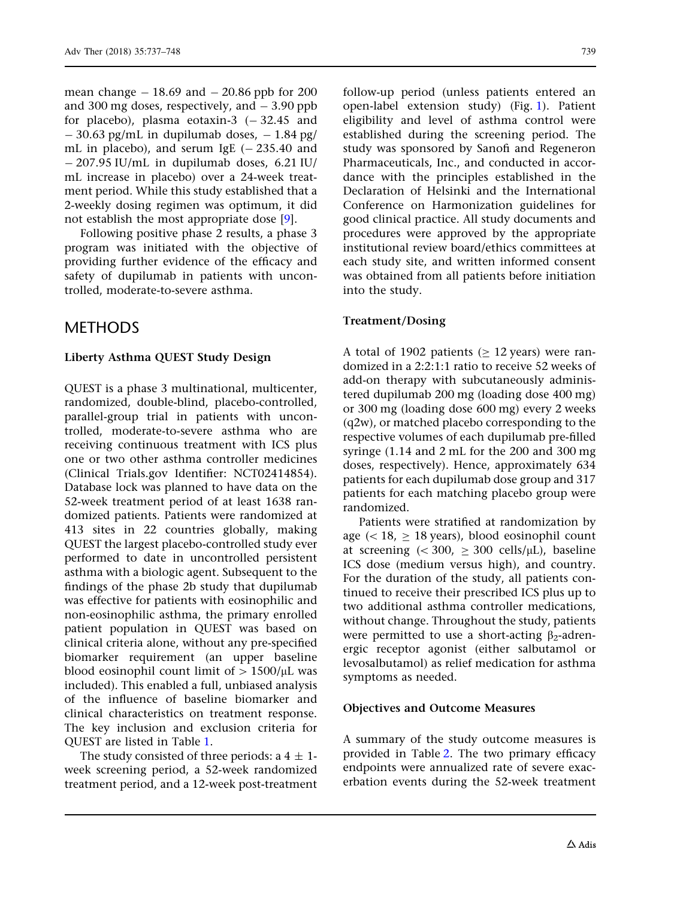mean change  $-18.69$  and  $-20.86$  ppb for 200 and 300 mg doses, respectively, and  $-3.90$  ppb for placebo), plasma eotaxin-3  $(-32.45$  and  $-$  30.63 pg/mL in dupilumab doses,  $-$  1.84 pg/ mL in placebo), and serum IgE  $(-235.40$  and  $-$  207.95 IU/mL in dupilumab doses, 6.21 IU/ mL increase in placebo) over a 24-week treatment period. While this study established that a 2-weekly dosing regimen was optimum, it did not establish the most appropriate dose [[9\]](#page-10-0).

Following positive phase 2 results, a phase 3 program was initiated with the objective of providing further evidence of the efficacy and safety of dupilumab in patients with uncontrolled, moderate-to-severe asthma.

## METHODS

### Liberty Asthma QUEST Study Design

QUEST is a phase 3 multinational, multicenter, randomized, double-blind, placebo-controlled, parallel-group trial in patients with uncontrolled, moderate-to-severe asthma who are receiving continuous treatment with ICS plus one or two other asthma controller medicines (Clinical Trials.gov Identifier: NCT02414854). Database lock was planned to have data on the 52-week treatment period of at least 1638 randomized patients. Patients were randomized at 413 sites in 22 countries globally, making QUEST the largest placebo-controlled study ever performed to date in uncontrolled persistent asthma with a biologic agent. Subsequent to the findings of the phase 2b study that dupilumab was effective for patients with eosinophilic and non-eosinophilic asthma, the primary enrolled patient population in QUEST was based on clinical criteria alone, without any pre-specified biomarker requirement (an upper baseline blood eosinophil count limit of  $> 1500/\mu$ L was included). This enabled a full, unbiased analysis of the influence of baseline biomarker and clinical characteristics on treatment response. The key inclusion and exclusion criteria for QUEST are listed in Table [1.](#page-3-0)

The study consisted of three periods:  $a 4 \pm 1$ week screening period, a 52-week randomized treatment period, and a 12-week post-treatment follow-up period (unless patients entered an open-label extension study) (Fig. [1](#page-4-0)). Patient eligibility and level of asthma control were established during the screening period. The study was sponsored by Sanofi and Regeneron Pharmaceuticals, Inc., and conducted in accordance with the principles established in the Declaration of Helsinki and the International Conference on Harmonization guidelines for good clinical practice. All study documents and procedures were approved by the appropriate institutional review board/ethics committees at each study site, and written informed consent was obtained from all patients before initiation into the study.

### Treatment/Dosing

A total of 1902 patients ( $\geq$  12 years) were randomized in a 2:2:1:1 ratio to receive 52 weeks of add-on therapy with subcutaneously administered dupilumab 200 mg (loading dose 400 mg) or 300 mg (loading dose 600 mg) every 2 weeks (q2w), or matched placebo corresponding to the respective volumes of each dupilumab pre-filled syringe (1.14 and 2 mL for the 200 and 300 mg doses, respectively). Hence, approximately 634 patients for each dupilumab dose group and 317 patients for each matching placebo group were randomized.

Patients were stratified at randomization by age  $(< 18, \geq 18$  years), blood eosinophil count at screening  $( $300$ ,  $>$  300 cells/µL)$ , baseline ICS dose (medium versus high), and country. For the duration of the study, all patients continued to receive their prescribed ICS plus up to two additional asthma controller medications, without change. Throughout the study, patients were permitted to use a short-acting  $\beta_2$ -adrenergic receptor agonist (either salbutamol or levosalbutamol) as relief medication for asthma symptoms as needed.

### Objectives and Outcome Measures

A summary of the study outcome measures is provided in Table [2.](#page-5-0) The two primary efficacy endpoints were annualized rate of severe exacerbation events during the 52-week treatment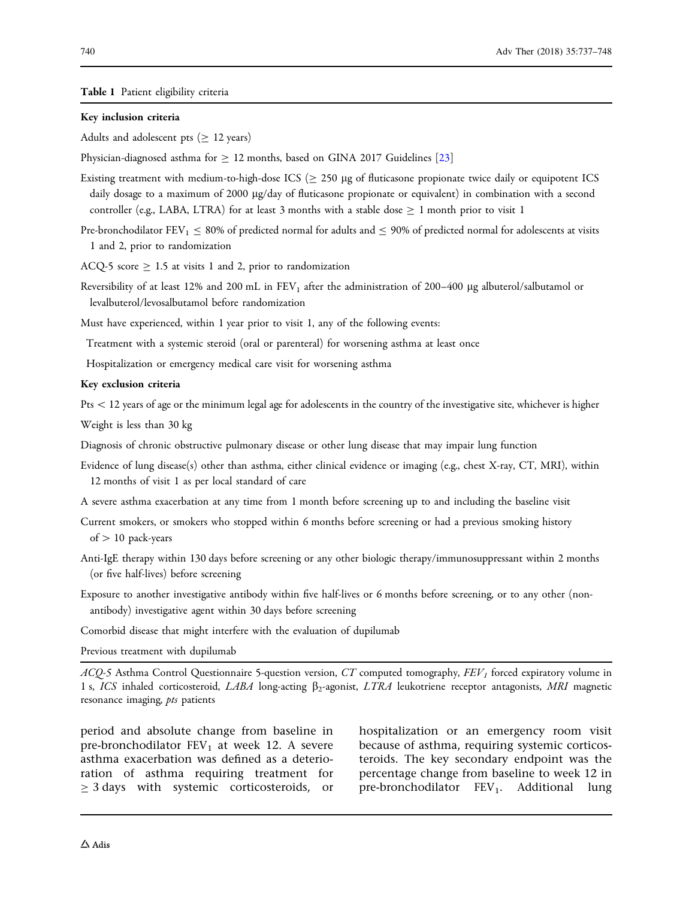<span id="page-3-0"></span>Table 1 Patient eligibility criteria

#### Key inclusion criteria

Adults and adolescent pts ( $\geq$  12 years)

Physician-diagnosed asthma for  $\geq 12$  months, based on GINA 2017 Guidelines [\[23\]](#page-11-0)

- Existing treatment with medium-to-high-dose ICS  $(\geq 250 \text{ µg} \text{ of } \text{fluticasone propionate twice daily or equipotent ICS})$ daily dosage to a maximum of 2000 lg/day of fluticasone propionate or equivalent) in combination with a second controller (e.g., LABA, LTRA) for at least 3 months with a stable dose  $\geq 1$  month prior to visit 1
- Pre-bronchodilator FEV<sub>1</sub>  $\leq$  80% of predicted normal for adults and  $\leq$  90% of predicted normal for adolescents at visits 1 and 2, prior to randomization
- ACQ-5 score  $\geq$  1.5 at visits 1 and 2, prior to randomization
- Reversibility of at least 12% and 200 mL in  $FEV<sub>1</sub>$  after the administration of 200–400 µg albuterol/salbutamol or levalbuterol/levosalbutamol before randomization

Must have experienced, within 1 year prior to visit 1, any of the following events:

Treatment with a systemic steroid (oral or parenteral) for worsening asthma at least once

Hospitalization or emergency medical care visit for worsening asthma

#### Key exclusion criteria

Pts \12 years of age or the minimum legal age for adolescents in the country of the investigative site, whichever is higher Weight is less than 30 kg

Diagnosis of chronic obstructive pulmonary disease or other lung disease that may impair lung function

Evidence of lung disease(s) other than asthma, either clinical evidence or imaging (e.g., chest X-ray, CT, MRI), within 12 months of visit 1 as per local standard of care

A severe asthma exacerbation at any time from 1 month before screening up to and including the baseline visit

- Current smokers, or smokers who stopped within 6 months before screening or had a previous smoking history of  $> 10$  pack-years
- Anti-IgE therapy within 130 days before screening or any other biologic therapy/immunosuppressant within 2 months (or five half-lives) before screening
- Exposure to another investigative antibody within five half-lives or 6 months before screening, or to any other (nonantibody) investigative agent within 30 days before screening

Comorbid disease that might interfere with the evaluation of dupilumab

Previous treatment with dupilumab

 $ACQ-5$  Asthma Control Questionnaire 5-question version, CT computed tomography,  $FEV<sub>I</sub>$  forced expiratory volume in 1 s, ICS inhaled corticosteroid, LABA long-acting  $\beta_2$ -agonist, LTRA leukotriene receptor antagonists, MRI magnetic resonance imaging, *pts* patients

period and absolute change from baseline in pre-bronchodilator  $FEV_1$  at week 12. A severe asthma exacerbation was defined as a deterioration of asthma requiring treatment for  $\geq$  3 days with systemic corticosteroids, or hospitalization or an emergency room visit because of asthma, requiring systemic corticosteroids. The key secondary endpoint was the percentage change from baseline to week 12 in pre-bronchodilator  $FEV_1$ . Additional lung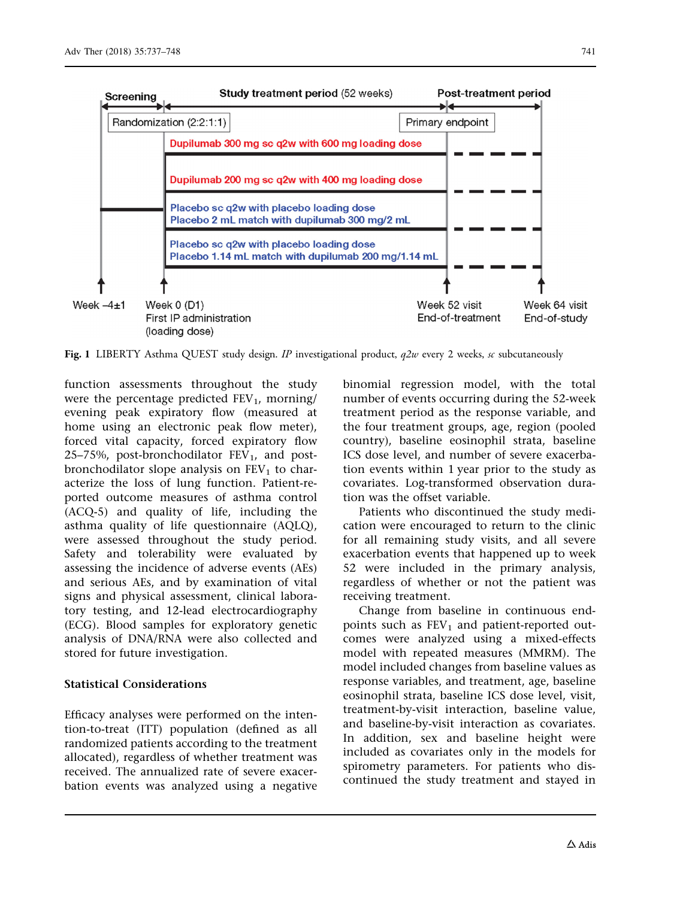<span id="page-4-0"></span>

Fig. 1 LIBERTY Asthma QUEST study design. IP investigational product,  $q2w$  every 2 weeks, sc subcutaneously

function assessments throughout the study were the percentage predicted  $FEV_1$ , morning/ evening peak expiratory flow (measured at home using an electronic peak flow meter), forced vital capacity, forced expiratory flow 25–75%, post-bronchodilator  $FEV<sub>1</sub>$ , and postbronchodilator slope analysis on  $FEV<sub>1</sub>$  to characterize the loss of lung function. Patient-reported outcome measures of asthma control (ACQ-5) and quality of life, including the asthma quality of life questionnaire (AQLQ), were assessed throughout the study period. Safety and tolerability were evaluated by assessing the incidence of adverse events (AEs) and serious AEs, and by examination of vital signs and physical assessment, clinical laboratory testing, and 12-lead electrocardiography (ECG). Blood samples for exploratory genetic analysis of DNA/RNA were also collected and stored for future investigation.

#### Statistical Considerations

Efficacy analyses were performed on the intention-to-treat (ITT) population (defined as all randomized patients according to the treatment allocated), regardless of whether treatment was received. The annualized rate of severe exacerbation events was analyzed using a negative binomial regression model, with the total number of events occurring during the 52-week treatment period as the response variable, and the four treatment groups, age, region (pooled country), baseline eosinophil strata, baseline ICS dose level, and number of severe exacerbation events within 1 year prior to the study as covariates. Log-transformed observation duration was the offset variable.

Patients who discontinued the study medication were encouraged to return to the clinic for all remaining study visits, and all severe exacerbation events that happened up to week 52 were included in the primary analysis, regardless of whether or not the patient was receiving treatment.

Change from baseline in continuous endpoints such as  $FEV<sub>1</sub>$  and patient-reported outcomes were analyzed using a mixed-effects model with repeated measures (MMRM). The model included changes from baseline values as response variables, and treatment, age, baseline eosinophil strata, baseline ICS dose level, visit, treatment-by-visit interaction, baseline value, and baseline-by-visit interaction as covariates. In addition, sex and baseline height were included as covariates only in the models for spirometry parameters. For patients who discontinued the study treatment and stayed in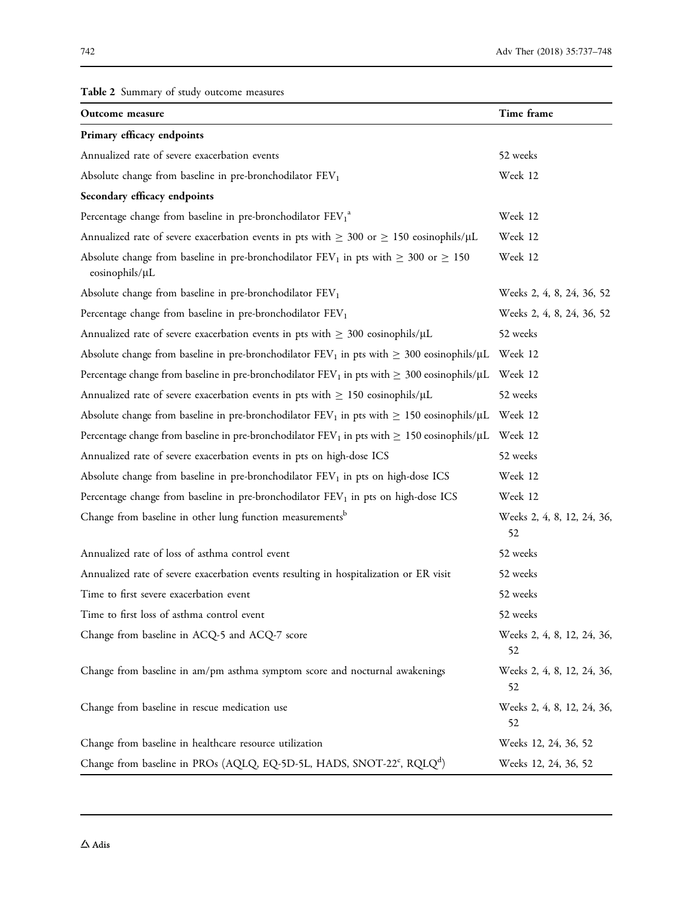## <span id="page-5-0"></span>Table 2 Summary of study outcome measures

| Outcome measure                                                                                                    | Time frame                       |
|--------------------------------------------------------------------------------------------------------------------|----------------------------------|
| Primary efficacy endpoints                                                                                         |                                  |
| Annualized rate of severe exacerbation events                                                                      | 52 weeks                         |
| Absolute change from baseline in pre-bronchodilator FEV1                                                           | Week 12                          |
| Secondary efficacy endpoints                                                                                       |                                  |
| Percentage change from baseline in pre-bronchodilator FEV1 <sup>a</sup>                                            | Week 12                          |
| Annualized rate of severe exacerbation events in pts with $\geq 300$ or $\geq 150$ eosinophils/ $\mu$ L            | Week 12                          |
| Absolute change from baseline in pre-bronchodilator $FEV_1$ in pts with $\geq 300$ or $\geq 150$<br>eosinophils/µL | Week 12                          |
| Absolute change from baseline in pre-bronchodilator FEV <sub>1</sub>                                               | Weeks 2, 4, 8, 24, 36, 52        |
| Percentage change from baseline in pre-bronchodilator FEV <sub>1</sub>                                             | Weeks 2, 4, 8, 24, 36, 52        |
| Annualized rate of severe exacerbation events in pts with $\geq 300$ eosinophils/ $\mu$ L                          | 52 weeks                         |
| Absolute change from baseline in pre-bronchodilator $FEV_1$ in pts with $\geq 300$ eosinophils/ $\mu$ L            | Week 12                          |
| Percentage change from baseline in pre-bronchodilator FEV <sub>1</sub> in pts with $\geq 300$ eosinophils/µL       | Week 12                          |
| Annualized rate of severe exacerbation events in pts with $\geq$ 150 eosinophils/ $\mu$ L                          | 52 weeks                         |
| Absolute change from baseline in pre-bronchodilator $FEV_1$ in pts with $\geq 150$ eosinophils/ $\mu$ L            | Week 12                          |
| Percentage change from baseline in pre-bronchodilator FEV <sub>1</sub> in pts with $\geq 150$ eosinophils/µL       | Week 12                          |
| Annualized rate of severe exacerbation events in pts on high-dose ICS                                              | 52 weeks                         |
| Absolute change from baseline in pre-bronchodilator FEV <sub>1</sub> in pts on high-dose ICS                       | Week 12                          |
| Percentage change from baseline in pre-bronchodilator FEV <sub>1</sub> in pts on high-dose ICS                     | Week 12                          |
| Change from baseline in other lung function measurements <sup>b</sup>                                              | Weeks 2, 4, 8, 12, 24, 36,<br>52 |
| Annualized rate of loss of asthma control event                                                                    | 52 weeks                         |
| Annualized rate of severe exacerbation events resulting in hospitalization or ER visit                             | 52 weeks                         |
| Time to first severe exacerbation event                                                                            | 52 weeks                         |
| Time to first loss of asthma control event                                                                         | 52 weeks                         |
| Change from baseline in ACQ-5 and ACQ-7 score                                                                      | Weeks 2, 4, 8, 12, 24, 36,<br>52 |
| Change from baseline in am/pm asthma symptom score and nocturnal awakenings                                        | Weeks 2, 4, 8, 12, 24, 36,<br>52 |
| Change from baseline in rescue medication use                                                                      | Weeks 2, 4, 8, 12, 24, 36,<br>52 |
| Change from baseline in healthcare resource utilization                                                            | Weeks 12, 24, 36, 52             |
| Change from baseline in PROs (AQLQ, EQ-5D-5L, HADS, SNOT-22°, RQLQ <sup>d</sup> )                                  | Weeks 12, 24, 36, 52             |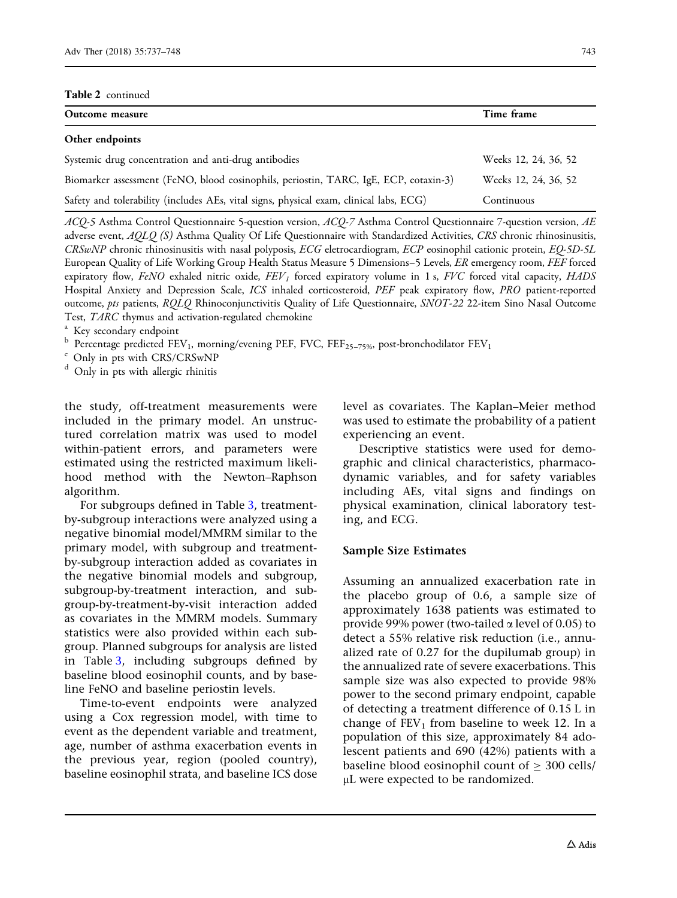#### Table 2 continued

| Outcome measure                                                                        | Time frame           |
|----------------------------------------------------------------------------------------|----------------------|
| Other endpoints                                                                        |                      |
| Systemic drug concentration and anti-drug antibodies                                   | Weeks 12, 24, 36, 52 |
| Biomarker assessment (FeNO, blood eosinophils, periostin, TARC, IgE, ECP, eotaxin-3)   | Weeks 12, 24, 36, 52 |
| Safety and tolerability (includes AEs, vital signs, physical exam, clinical labs, ECG) | Continuous           |

ACQ-5 Asthma Control Questionnaire 5-question version, ACQ-7 Asthma Control Questionnaire 7-question version, AE adverse event, AQLQ (S) Asthma Quality Of Life Questionnaire with Standardized Activities, CRS chronic rhinosinusitis, CRSwNP chronic rhinosinusitis with nasal polyposis, ECG eletrocardiogram, ECP eosinophil cationic protein, EQ-5D-5L European Quality of Life Working Group Health Status Measure 5 Dimensions–5 Levels, ER emergency room, FEF forced expiratory flow, FeNO exhaled nitric oxide,  $FEV<sub>I</sub>$  forced expiratory volume in 1 s, FVC forced vital capacity, HADS Hospital Anxiety and Depression Scale, ICS inhaled corticosteroid, PEF peak expiratory flow, PRO patient-reported outcome, pts patients, RQLQ Rhinoconjunctivitis Quality of Life Questionnaire, SNOT-22 22-item Sino Nasal Outcome Test, *TARC* thymus and activation-regulated chemokine <sup>a</sup> Key secondary endpoint

 $\rm ^b$  Percentage predicted FEV<sub>1</sub>, morning/evening PEF, FVC, FEF<sub>25–75%</sub>, post-bronchodilator FEV<sub>1</sub> <sup>c</sup> Only in pts with CRS/CRSwNP

<sup>d</sup> Only in pts with allergic rhinitis

the study, off-treatment measurements were included in the primary model. An unstructured correlation matrix was used to model within-patient errors, and parameters were estimated using the restricted maximum likelihood method with the Newton–Raphson algorithm.

For subgroups defined in Table [3,](#page-7-0) treatmentby-subgroup interactions were analyzed using a negative binomial model/MMRM similar to the primary model, with subgroup and treatmentby-subgroup interaction added as covariates in the negative binomial models and subgroup, subgroup-by-treatment interaction, and subgroup-by-treatment-by-visit interaction added as covariates in the MMRM models. Summary statistics were also provided within each subgroup. Planned subgroups for analysis are listed in Table [3](#page-7-0), including subgroups defined by baseline blood eosinophil counts, and by baseline FeNO and baseline periostin levels.

Time-to-event endpoints were analyzed using a Cox regression model, with time to event as the dependent variable and treatment, age, number of asthma exacerbation events in the previous year, region (pooled country), baseline eosinophil strata, and baseline ICS dose

level as covariates. The Kaplan–Meier method was used to estimate the probability of a patient experiencing an event.

Descriptive statistics were used for demographic and clinical characteristics, pharmacodynamic variables, and for safety variables including AEs, vital signs and findings on physical examination, clinical laboratory testing, and ECG.

#### Sample Size Estimates

Assuming an annualized exacerbation rate in the placebo group of 0.6, a sample size of approximately 1638 patients was estimated to provide 99% power (two-tailed  $\alpha$  level of 0.05) to detect a 55% relative risk reduction (i.e., annualized rate of 0.27 for the dupilumab group) in the annualized rate of severe exacerbations. This sample size was also expected to provide 98% power to the second primary endpoint, capable of detecting a treatment difference of 0.15 L in change of  $FEV<sub>1</sub>$  from baseline to week 12. In a population of this size, approximately 84 adolescent patients and 690 (42%) patients with a baseline blood eosinophil count of  $>$  300 cells/ lL were expected to be randomized.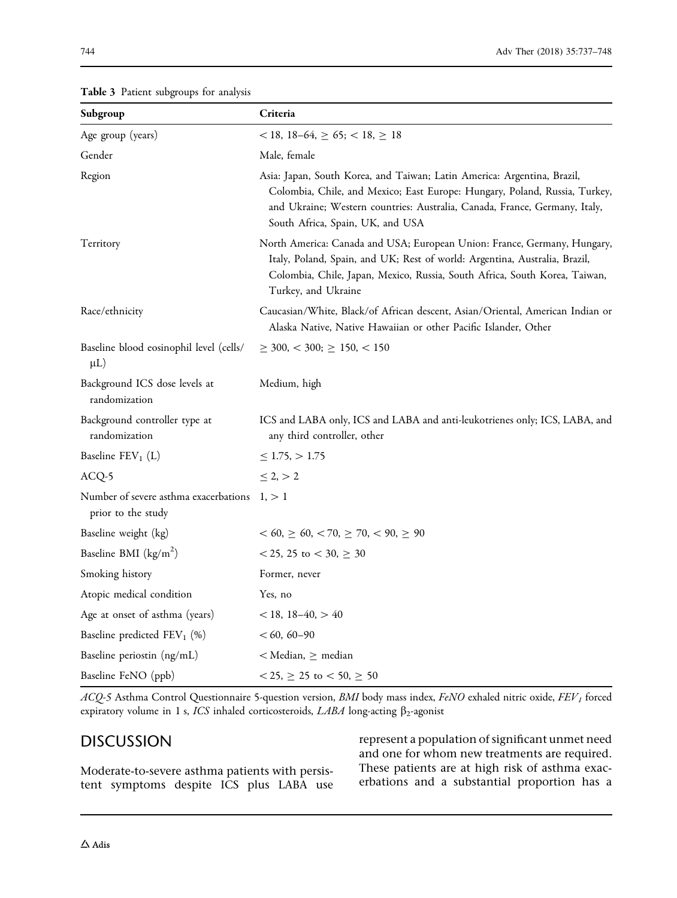<span id="page-7-0"></span>

| Subgroup                                                    | Criteria                                                                                                                                                                                                                                                                |
|-------------------------------------------------------------|-------------------------------------------------------------------------------------------------------------------------------------------------------------------------------------------------------------------------------------------------------------------------|
| Age group (years)                                           | $< 18$ , 18-64, $\geq 65$ ; $< 18$ , $\geq 18$                                                                                                                                                                                                                          |
| Gender                                                      | Male, female                                                                                                                                                                                                                                                            |
| Region                                                      | Asia: Japan, South Korea, and Taiwan; Latin America: Argentina, Brazil,<br>Colombia, Chile, and Mexico; East Europe: Hungary, Poland, Russia, Turkey,<br>and Ukraine; Western countries: Australia, Canada, France, Germany, Italy,<br>South Africa, Spain, UK, and USA |
| Territory                                                   | North America: Canada and USA; European Union: France, Germany, Hungary,<br>Italy, Poland, Spain, and UK; Rest of world: Argentina, Australia, Brazil,<br>Colombia, Chile, Japan, Mexico, Russia, South Africa, South Korea, Taiwan,<br>Turkey, and Ukraine             |
| Race/ethnicity                                              | Caucasian/White, Black/of African descent, Asian/Oriental, American Indian or<br>Alaska Native, Native Hawaiian or other Pacific Islander, Other                                                                                                                        |
| Baseline blood eosinophil level (cells/<br>$\mu L$ )        | $\geq$ 300, < 300; $\geq$ 150, < 150                                                                                                                                                                                                                                    |
| Background ICS dose levels at<br>randomization              | Medium, high                                                                                                                                                                                                                                                            |
| Background controller type at<br>randomization              | ICS and LABA only, ICS and LABA and anti-leukotrienes only; ICS, LABA, and<br>any third controller, other                                                                                                                                                               |
| Baseline $FEV_1(L)$                                         | $\leq$ 1.75, $>$ 1.75                                                                                                                                                                                                                                                   |
| ACQ-5                                                       | $\leq 2, > 2$                                                                                                                                                                                                                                                           |
| Number of severe asthma exacerbations<br>prior to the study | 1, > 1                                                                                                                                                                                                                                                                  |
| Baseline weight (kg)                                        | $< 60, \ge 60, \lt 70, \ge 70, \lt 90, \ge 90$                                                                                                                                                                                                                          |
| Baseline BMI $(kg/m^2)$                                     | < 25, 25 to < 30, $\geq 30$                                                                                                                                                                                                                                             |
| Smoking history                                             | Former, never                                                                                                                                                                                                                                                           |
| Atopic medical condition                                    | Yes, no                                                                                                                                                                                                                                                                 |
| Age at onset of asthma (years)                              | $< 18, 18-40, > 40$                                                                                                                                                                                                                                                     |
| Baseline predicted $FEV_1$ (%)                              | $< 60, 60 - 90$                                                                                                                                                                                                                                                         |
| Baseline periostin (ng/mL)                                  | $<$ Median, $\geq$ median                                                                                                                                                                                                                                               |
| Baseline FeNO (ppb)                                         | $< 25, \geq 25$ to $< 50, \geq 50$                                                                                                                                                                                                                                      |

 $ACQ$ -5 Asthma Control Questionnaire 5-question version, BMI body mass index, FeNO exhaled nitric oxide, FEV<sub>1</sub> forced expiratory volume in 1 s, ICS inhaled corticosteroids,  $LABA$  long-acting  $\beta_2$ -agonist

# **DISCUSSION**

Moderate-to-severe asthma patients with persistent symptoms despite ICS plus LABA use represent a population of significant unmet need and one for whom new treatments are required. These patients are at high risk of asthma exacerbations and a substantial proportion has a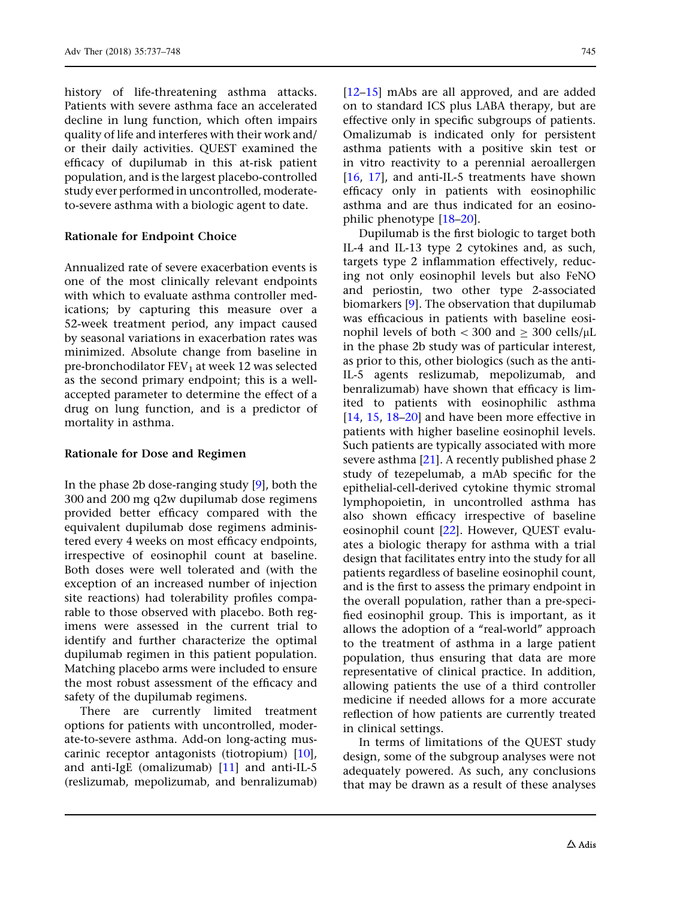history of life-threatening asthma attacks. Patients with severe asthma face an accelerated decline in lung function, which often impairs quality of life and interferes with their work and/ or their daily activities. QUEST examined the efficacy of dupilumab in this at-risk patient population, and is the largest placebo-controlled study ever performed in uncontrolled, moderateto-severe asthma with a biologic agent to date.

#### Rationale for Endpoint Choice

Annualized rate of severe exacerbation events is one of the most clinically relevant endpoints with which to evaluate asthma controller medications; by capturing this measure over a 52-week treatment period, any impact caused by seasonal variations in exacerbation rates was minimized. Absolute change from baseline in pre-bronchodilator  $FEV<sub>1</sub>$  at week 12 was selected as the second primary endpoint; this is a wellaccepted parameter to determine the effect of a drug on lung function, and is a predictor of mortality in asthma.

### Rationale for Dose and Regimen

In the phase 2b dose-ranging study [[9\]](#page-10-0), both the 300 and 200 mg q2w dupilumab dose regimens provided better efficacy compared with the equivalent dupilumab dose regimens administered every 4 weeks on most efficacy endpoints, irrespective of eosinophil count at baseline. Both doses were well tolerated and (with the exception of an increased number of injection site reactions) had tolerability profiles comparable to those observed with placebo. Both regimens were assessed in the current trial to identify and further characterize the optimal dupilumab regimen in this patient population. Matching placebo arms were included to ensure the most robust assessment of the efficacy and safety of the dupilumab regimens.

There are currently limited treatment options for patients with uncontrolled, moderate-to-severe asthma. Add-on long-acting muscarinic receptor antagonists (tiotropium) [[10\]](#page-10-0), and anti-IgE (omalizumab) [[11](#page-10-0)] and anti-IL-5 (reslizumab, mepolizumab, and benralizumab) [\[12–15](#page-10-0)] mAbs are all approved, and are added on to standard ICS plus LABA therapy, but are effective only in specific subgroups of patients. Omalizumab is indicated only for persistent asthma patients with a positive skin test or in vitro reactivity to a perennial aeroallergen [\[16,](#page-10-0) [17](#page-11-0)], and anti-IL-5 treatments have shown efficacy only in patients with eosinophilic asthma and are thus indicated for an eosinophilic phenotype [[18–20\]](#page-11-0).

Dupilumab is the first biologic to target both IL-4 and IL-13 type 2 cytokines and, as such, targets type 2 inflammation effectively, reducing not only eosinophil levels but also FeNO and periostin, two other type 2-associated biomarkers [[9](#page-10-0)]. The observation that dupilumab was efficacious in patients with baseline eosinophil levels of both  $\langle 300 \text{ and } \rangle \geq 300 \text{ cells/}\mu\text{L}$ in the phase 2b study was of particular interest, as prior to this, other biologics (such as the anti-IL-5 agents reslizumab, mepolizumab, and benralizumab) have shown that efficacy is limited to patients with eosinophilic asthma [\[14,](#page-10-0) [15](#page-10-0), [18–20\]](#page-11-0) and have been more effective in patients with higher baseline eosinophil levels. Such patients are typically associated with more severe asthma [\[21\]](#page-11-0). A recently published phase 2 study of tezepelumab, a mAb specific for the epithelial-cell-derived cytokine thymic stromal lymphopoietin, in uncontrolled asthma has also shown efficacy irrespective of baseline eosinophil count [[22](#page-11-0)]. However, QUEST evaluates a biologic therapy for asthma with a trial design that facilitates entry into the study for all patients regardless of baseline eosinophil count, and is the first to assess the primary endpoint in the overall population, rather than a pre-specified eosinophil group. This is important, as it allows the adoption of a "real-world" approach to the treatment of asthma in a large patient population, thus ensuring that data are more representative of clinical practice. In addition, allowing patients the use of a third controller medicine if needed allows for a more accurate reflection of how patients are currently treated in clinical settings.

In terms of limitations of the QUEST study design, some of the subgroup analyses were not adequately powered. As such, any conclusions that may be drawn as a result of these analyses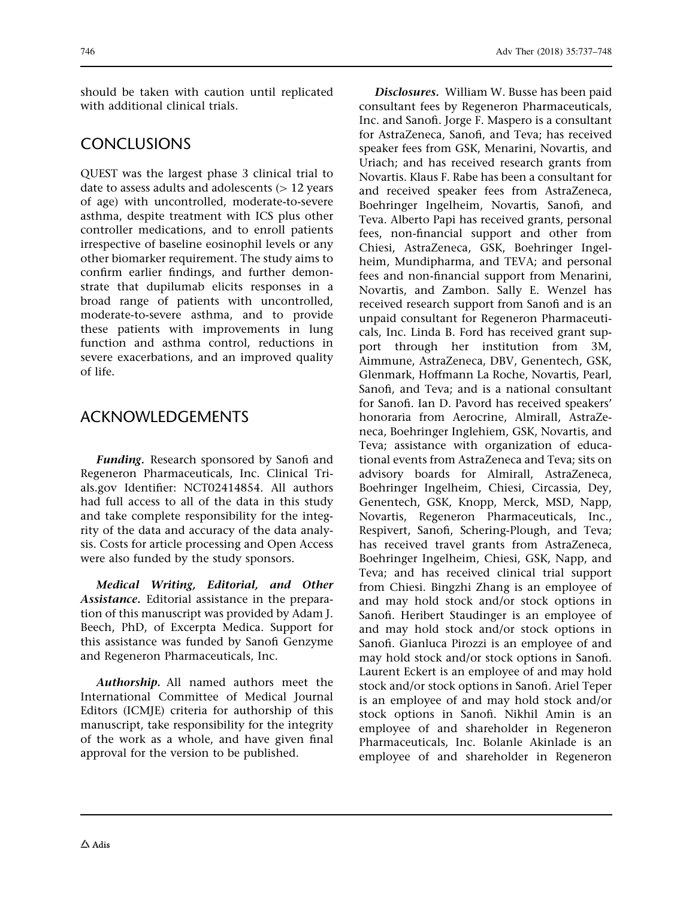should be taken with caution until replicated with additional clinical trials.

## CONCLUSIONS

QUEST was the largest phase 3 clinical trial to date to assess adults and adolescents  $(>12$  years of age) with uncontrolled, moderate-to-severe asthma, despite treatment with ICS plus other controller medications, and to enroll patients irrespective of baseline eosinophil levels or any other biomarker requirement. The study aims to confirm earlier findings, and further demonstrate that dupilumab elicits responses in a broad range of patients with uncontrolled, moderate-to-severe asthma, and to provide these patients with improvements in lung function and asthma control, reductions in severe exacerbations, and an improved quality of life.

## ACKNOWLEDGEMENTS

Funding. Research sponsored by Sanofi and Regeneron Pharmaceuticals, Inc. Clinical Trials.gov Identifier: NCT02414854. All authors had full access to all of the data in this study and take complete responsibility for the integrity of the data and accuracy of the data analysis. Costs for article processing and Open Access were also funded by the study sponsors.

Medical Writing, Editorial, and Other Assistance. Editorial assistance in the preparation of this manuscript was provided by Adam J. Beech, PhD, of Excerpta Medica. Support for this assistance was funded by Sanofi Genzyme and Regeneron Pharmaceuticals, Inc.

Authorship. All named authors meet the International Committee of Medical Journal Editors (ICMJE) criteria for authorship of this manuscript, take responsibility for the integrity of the work as a whole, and have given final approval for the version to be published.

Disclosures. William W. Busse has been paid consultant fees by Regeneron Pharmaceuticals, Inc. and Sanofi. Jorge F. Maspero is a consultant for AstraZeneca, Sanofi, and Teva; has received speaker fees from GSK, Menarini, Novartis, and Uriach; and has received research grants from Novartis. Klaus F. Rabe has been a consultant for and received speaker fees from AstraZeneca, Boehringer Ingelheim, Novartis, Sanofi, and Teva. Alberto Papi has received grants, personal fees, non-financial support and other from Chiesi, AstraZeneca, GSK, Boehringer Ingelheim, Mundipharma, and TEVA; and personal fees and non-financial support from Menarini, Novartis, and Zambon. Sally E. Wenzel has received research support from Sanofi and is an unpaid consultant for Regeneron Pharmaceuticals, Inc. Linda B. Ford has received grant support through her institution from 3M, Aimmune, AstraZeneca, DBV, Genentech, GSK, Glenmark, Hoffmann La Roche, Novartis, Pearl, Sanofi, and Teva; and is a national consultant for Sanofi. Ian D. Pavord has received speakers' honoraria from Aerocrine, Almirall, AstraZeneca, Boehringer Inglehiem, GSK, Novartis, and Teva; assistance with organization of educational events from AstraZeneca and Teva; sits on advisory boards for Almirall, AstraZeneca, Boehringer Ingelheim, Chiesi, Circassia, Dey, Genentech, GSK, Knopp, Merck, MSD, Napp, Novartis, Regeneron Pharmaceuticals, Inc., Respivert, Sanofi, Schering-Plough, and Teva; has received travel grants from AstraZeneca, Boehringer Ingelheim, Chiesi, GSK, Napp, and Teva; and has received clinical trial support from Chiesi. Bingzhi Zhang is an employee of and may hold stock and/or stock options in Sanofi. Heribert Staudinger is an employee of and may hold stock and/or stock options in Sanofi. Gianluca Pirozzi is an employee of and may hold stock and/or stock options in Sanofi. Laurent Eckert is an employee of and may hold stock and/or stock options in Sanofi. Ariel Teper is an employee of and may hold stock and/or stock options in Sanofi. Nikhil Amin is an employee of and shareholder in Regeneron Pharmaceuticals, Inc. Bolanle Akinlade is an employee of and shareholder in Regeneron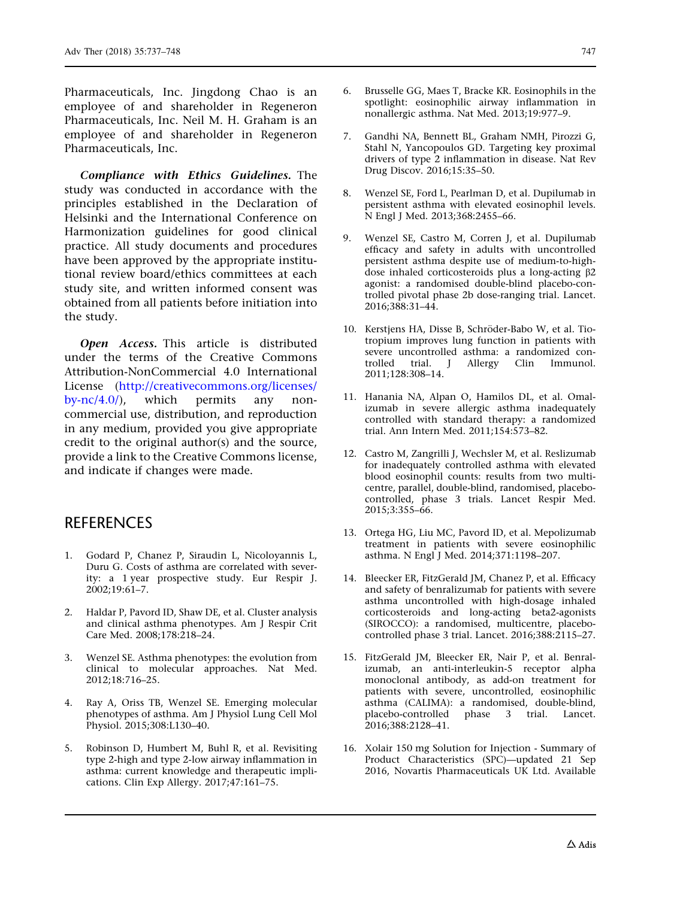<span id="page-10-0"></span>Pharmaceuticals, Inc. Jingdong Chao is an employee of and shareholder in Regeneron Pharmaceuticals, Inc. Neil M. H. Graham is an employee of and shareholder in Regeneron Pharmaceuticals, Inc.

Compliance with Ethics Guidelines. The study was conducted in accordance with the principles established in the Declaration of Helsinki and the International Conference on Harmonization guidelines for good clinical practice. All study documents and procedures have been approved by the appropriate institutional review board/ethics committees at each study site, and written informed consent was obtained from all patients before initiation into the study.

Open Access. This article is distributed under the terms of the Creative Commons Attribution-NonCommercial 4.0 International License ([http://creativecommons.org/licenses/](http://creativecommons.org/licenses/by-nc/4.0/) by- $nc/4.0$ , which permits any noncommercial use, distribution, and reproduction in any medium, provided you give appropriate credit to the original author(s) and the source, provide a link to the Creative Commons license, and indicate if changes were made.

## **REFERENCES**

- 1. Godard P, Chanez P, Siraudin L, Nicoloyannis L, Duru G. Costs of asthma are correlated with severity: a 1 year prospective study. Eur Respir J. 2002;19:61–7.
- 2. Haldar P, Pavord ID, Shaw DE, et al. Cluster analysis and clinical asthma phenotypes. Am J Respir Crit Care Med. 2008;178:218–24.
- 3. Wenzel SE. Asthma phenotypes: the evolution from clinical to molecular approaches. Nat Med. 2012;18:716–25.
- 4. Ray A, Oriss TB, Wenzel SE. Emerging molecular phenotypes of asthma. Am J Physiol Lung Cell Mol Physiol. 2015;308:L130–40.
- 5. Robinson D, Humbert M, Buhl R, et al. Revisiting type 2-high and type 2-low airway inflammation in asthma: current knowledge and therapeutic implications. Clin Exp Allergy. 2017;47:161–75.
- 6. Brusselle GG, Maes T, Bracke KR. Eosinophils in the spotlight: eosinophilic airway inflammation in nonallergic asthma. Nat Med. 2013;19:977–9.
- 7. Gandhi NA, Bennett BL, Graham NMH, Pirozzi G, Stahl N, Yancopoulos GD. Targeting key proximal drivers of type 2 inflammation in disease. Nat Rev Drug Discov. 2016;15:35–50.
- 8. Wenzel SE, Ford L, Pearlman D, et al. Dupilumab in persistent asthma with elevated eosinophil levels. N Engl J Med. 2013;368:2455–66.
- 9. Wenzel SE, Castro M, Corren J, et al. Dupilumab efficacy and safety in adults with uncontrolled persistent asthma despite use of medium-to-highdose inhaled corticosteroids plus a long-acting  $\beta$ 2 agonist: a randomised double-blind placebo-controlled pivotal phase 2b dose-ranging trial. Lancet. 2016;388:31–44.
- 10. Kerstjens HA, Disse B, Schröder-Babo W, et al. Tiotropium improves lung function in patients with severe uncontrolled asthma: a randomized con-<br>trolled trial. J Allergy Clin Immunol. trolled trial. J 2011;128:308–14.
- 11. Hanania NA, Alpan O, Hamilos DL, et al. Omalizumab in severe allergic asthma inadequately controlled with standard therapy: a randomized trial. Ann Intern Med. 2011;154:573–82.
- 12. Castro M, Zangrilli J, Wechsler M, et al. Reslizumab for inadequately controlled asthma with elevated blood eosinophil counts: results from two multicentre, parallel, double-blind, randomised, placebocontrolled, phase 3 trials. Lancet Respir Med. 2015;3:355–66.
- 13. Ortega HG, Liu MC, Pavord ID, et al. Mepolizumab treatment in patients with severe eosinophilic asthma. N Engl J Med. 2014;371:1198–207.
- 14. Bleecker ER, FitzGerald JM, Chanez P, et al. Efficacy and safety of benralizumab for patients with severe asthma uncontrolled with high-dosage inhaled corticosteroids and long-acting beta2-agonists (SIROCCO): a randomised, multicentre, placebocontrolled phase 3 trial. Lancet. 2016;388:2115–27.
- 15. FitzGerald JM, Bleecker ER, Nair P, et al. Benralizumab, an anti-interleukin-5 receptor alpha monoclonal antibody, as add-on treatment for patients with severe, uncontrolled, eosinophilic asthma (CALIMA): a randomised, double-blind, placebo-controlled phase 3 trial. Lancet. 2016;388:2128–41.
- 16. Xolair 150 mg Solution for Injection Summary of Product Characteristics (SPC)—updated 21 Sep 2016, Novartis Pharmaceuticals UK Ltd. Available